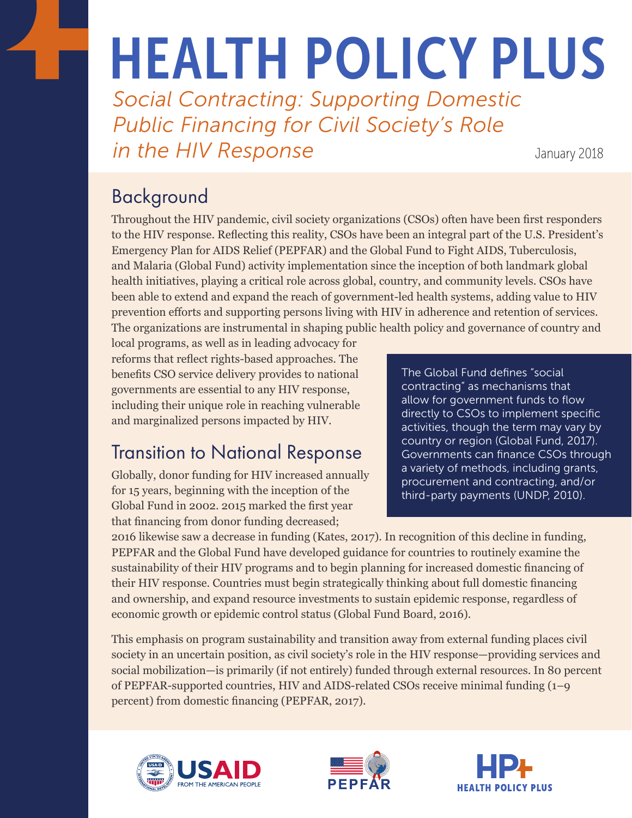# HEALTH POLICY PLUS

*Social Contracting: Supporting Domestic Public Financing for Civil Society's Role in the HIV Response* January 2018

## Background

Throughout the HIV pandemic, civil society organizations (CSOs) often have been first responders to the HIV response. Reflecting this reality, CSOs have been an integral part of the U.S. President's Emergency Plan for AIDS Relief (PEPFAR) and the Global Fund to Fight AIDS, Tuberculosis, and Malaria (Global Fund) activity implementation since the inception of both landmark global health initiatives, playing a critical role across global, country, and community levels. CSOs have been able to extend and expand the reach of government-led health systems, adding value to HIV prevention efforts and supporting persons living with HIV in adherence and retention of services. The organizations are instrumental in shaping public health policy and governance of country and

local programs, as well as in leading advocacy for reforms that reflect rights-based approaches. The benefits CSO service delivery provides to national governments are essential to any HIV response, including their unique role in reaching vulnerable and marginalized persons impacted by HIV.

# Transition to National Response

Globally, donor funding for HIV increased annually for 15 years, beginning with the inception of the Global Fund in 2002. 2015 marked the first year that financing from donor funding decreased;

The Global Fund defines "social contracting" as mechanisms that allow for government funds to flow directly to CSOs to implement specific activities, though the term may vary by country or region (Global Fund, 2017). Governments can finance CSOs through a variety of methods, including grants, procurement and contracting, and/or third-party payments (UNDP, 2010).

2016 likewise saw a decrease in funding (Kates, 2017). In recognition of this decline in funding, PEPFAR and the Global Fund have developed guidance for countries to routinely examine the sustainability of their HIV programs and to begin planning for increased domestic financing of their HIV response. Countries must begin strategically thinking about full domestic financing and ownership, and expand resource investments to sustain epidemic response, regardless of economic growth or epidemic control status (Global Fund Board, 2016).

This emphasis on program sustainability and transition away from external funding places civil society in an uncertain position, as civil society's role in the HIV response—providing services and social mobilization—is primarily (if not entirely) funded through external resources. In 80 percent of PEPFAR-supported countries, HIV and AIDS-related CSOs receive minimal funding (1–9 percent) from domestic financing (PEPFAR, 2017).





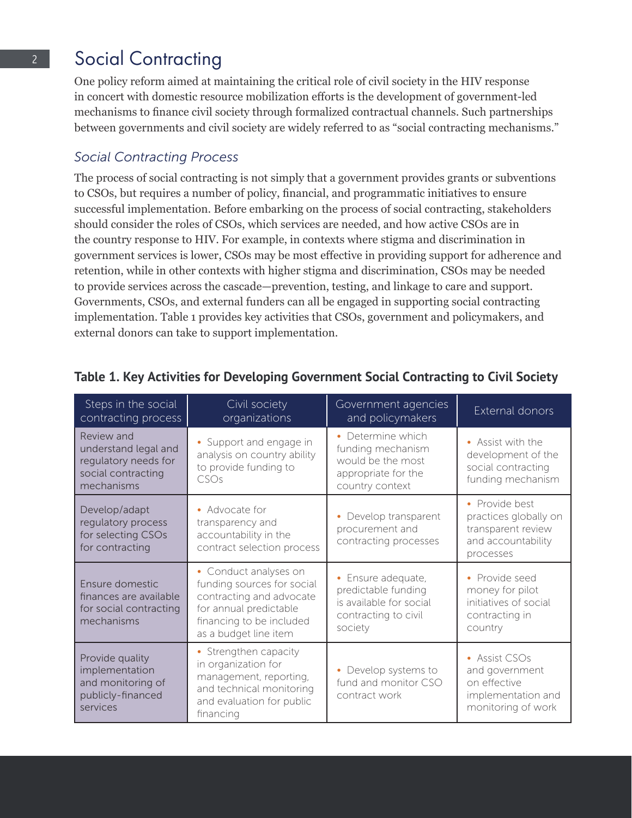## 2 Social Contracting

One policy reform aimed at maintaining the critical role of civil society in the HIV response in concert with domestic resource mobilization efforts is the development of government-led mechanisms to finance civil society through formalized contractual channels. Such partnerships between governments and civil society are widely referred to as "social contracting mechanisms."

## *Social Contracting Process*

The process of social contracting is not simply that a government provides grants or subventions to CSOs, but requires a number of policy, financial, and programmatic initiatives to ensure successful implementation. Before embarking on the process of social contracting, stakeholders should consider the roles of CSOs, which services are needed, and how active CSOs are in the country response to HIV. For example, in contexts where stigma and discrimination in government services is lower, CSOs may be most effective in providing support for adherence and retention, while in other contexts with higher stigma and discrimination, CSOs may be needed to provide services across the cascade—prevention, testing, and linkage to care and support. Governments, CSOs, and external funders can all be engaged in supporting social contracting implementation. Table 1 provides key activities that CSOs, government and policymakers, and external donors can take to support implementation.

| Steps in the social<br>contracting process                                                     | Civil society<br>organizations                                                                                                                                 | Government agencies<br>and policymakers                                                                 | External donors                                                                                  |
|------------------------------------------------------------------------------------------------|----------------------------------------------------------------------------------------------------------------------------------------------------------------|---------------------------------------------------------------------------------------------------------|--------------------------------------------------------------------------------------------------|
| Review and<br>understand legal and<br>regulatory needs for<br>social contracting<br>mechanisms | • Support and engage in<br>analysis on country ability<br>to provide funding to<br>CSOs                                                                        | • Determine which<br>funding mechanism<br>would be the most<br>appropriate for the<br>country context   | • Assist with the<br>development of the<br>social contracting<br>funding mechanism               |
| Develop/adapt<br>regulatory process<br>for selecting CSOs<br>for contracting                   | • Advocate for<br>transparency and<br>accountability in the<br>contract selection process                                                                      | Develop transparent<br>۰<br>procurement and<br>contracting processes                                    | • Provide best<br>practices globally on<br>transparent review<br>and accountability<br>processes |
| Ensure domestic<br>finances are available<br>for social contracting<br>mechanisms              | • Conduct analyses on<br>funding sources for social<br>contracting and advocate<br>for annual predictable<br>financing to be included<br>as a budget line item | • Ensure adequate,<br>predictable funding<br>is available for social<br>contracting to civil<br>society | • Provide seed<br>money for pilot<br>initiatives of social<br>contracting in<br>country          |
| Provide quality<br>implementation<br>and monitoring of<br>publicly-financed<br>services        | • Strengthen capacity<br>in organization for<br>management, reporting,<br>and technical monitoring<br>and evaluation for public<br>financing                   | Develop systems to<br>fund and monitor CSO<br>contract work                                             | • Assist CSOs<br>and government<br>on effective<br>implementation and<br>monitoring of work      |

## **Table 1. Key Activities for Developing Government Social Contracting to Civil Society**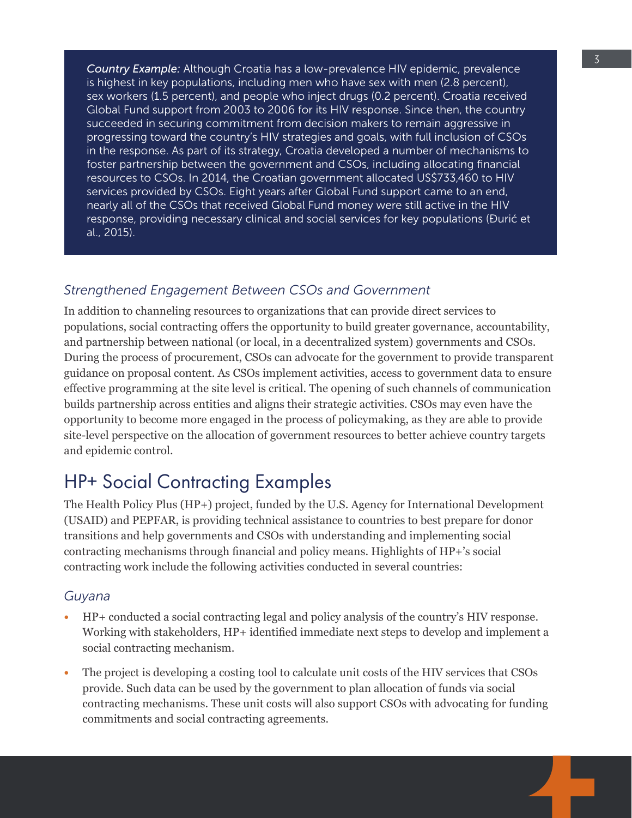*Country Example:* Although Croatia has a low-prevalence HIV epidemic, prevalence is highest in key populations, including men who have sex with men (2.8 percent), sex workers (1.5 percent), and people who inject drugs (0.2 percent). Croatia received Global Fund support from 2003 to 2006 for its HIV response. Since then, the country succeeded in securing commitment from decision makers to remain aggressive in progressing toward the country's HIV strategies and goals, with full inclusion of CSOs in the response. As part of its strategy, Croatia developed a number of mechanisms to foster partnership between the government and CSOs, including allocating financial resources to CSOs. In 2014, the Croatian government allocated US\$733,460 to HIV services provided by CSOs. Eight years after Global Fund support came to an end, nearly all of the CSOs that received Global Fund money were still active in the HIV response, providing necessary clinical and social services for key populations (Đurić et al., 2015).

### *Strengthened Engagement Between CSOs and Government*

In addition to channeling resources to organizations that can provide direct services to populations, social contracting offers the opportunity to build greater governance, accountability, and partnership between national (or local, in a decentralized system) governments and CSOs. During the process of procurement, CSOs can advocate for the government to provide transparent guidance on proposal content. As CSOs implement activities, access to government data to ensure effective programming at the site level is critical. The opening of such channels of communication builds partnership across entities and aligns their strategic activities. CSOs may even have the opportunity to become more engaged in the process of policymaking, as they are able to provide site-level perspective on the allocation of government resources to better achieve country targets and epidemic control.

## HP+ Social Contracting Examples

The Health Policy Plus (HP+) project, funded by the U.S. Agency for International Development (USAID) and PEPFAR, is providing technical assistance to countries to best prepare for donor transitions and help governments and CSOs with understanding and implementing social contracting mechanisms through financial and policy means. Highlights of HP+'s social contracting work include the following activities conducted in several countries:

#### *Guyana*

- **•** HP+ conducted a social contracting legal and policy analysis of the country's HIV response. Working with stakeholders, HP+ identified immediate next steps to develop and implement a social contracting mechanism.
- **•** The project is developing a costing tool to calculate unit costs of the HIV services that CSOs provide. Such data can be used by the government to plan allocation of funds via social contracting mechanisms. These unit costs will also support CSOs with advocating for funding commitments and social contracting agreements.